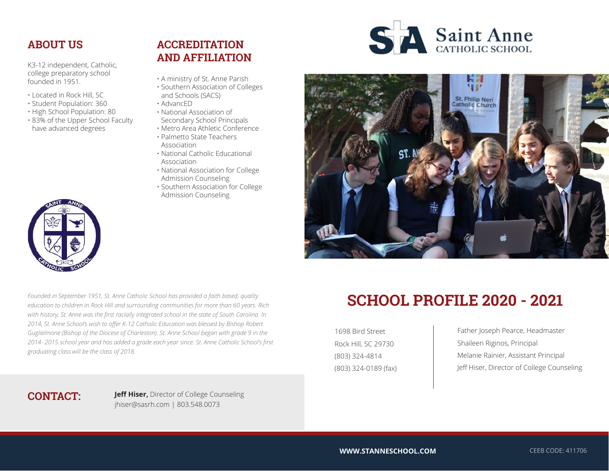K3-12 independent, Catholic, college preparatory school founded in 1951.

- Located in Rock Hill, SC
- Student Population: 360
- High School Population: 80
- 83% of the Upper School Faculty have advanced degrees

# **ABOUT US ACCREDITATION AND AFFILIATION**

- A ministry of St. Anne Parish
- Southern Association of Colleges and Schools (SACS)
- AdvancED
- National Association of Secondary School Principals
- Metro Area Athletic Conference
- Palmetto State Teachers Association
- National Catholic Educational Association
- National Association for College Admission Counseling
- Southern Association for College Admission Counseling





*Founded in September 1951, St. Anne Catholic School has provided a faith based, quality education to children in Rock Hill and surrounding communities for more than 60 years. Rich with history, St. Anne was the first racially integrated school in the state of South Carolina. In 2014, St. Anne School's wish to offer K-12 Catholic Education was blessed by Bishop Robert Guglielmone (Bishop of the Diocese of Charleston). St. Anne School began with grade 9 in the 2014- 2015 school year and has added a grade each year since. St. Anne Catholic School's first graduating class will be the class of 2018.*

# **SCHOOL PROFILE 2020 - 2021**

1698 Bird Street Rock Hill, SC 29730 (803) 324-4814 (803) 324-0189 (fax)

Father Joseph Pearce, Headmaster Shaileen Riginos, Principal Melanie Rainier, Assistant Principal Jeff Hiser, Director of College Counseling

**CONTACT: Jeff Hiser,** Director of College Counseling jhiser@sasrh.com | 803.548.0073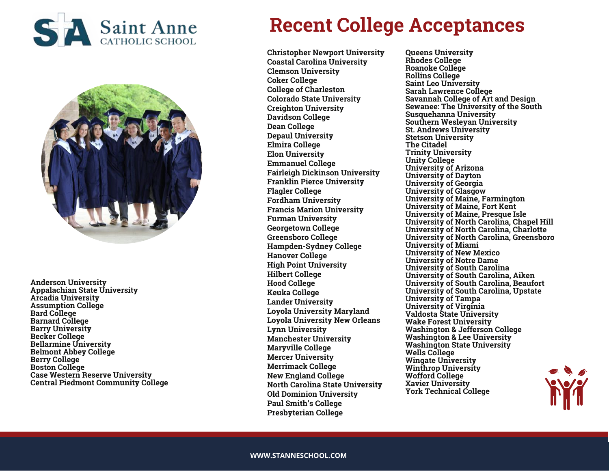



**Anderson University Appalachian State University Arcadia University Assumption College Bard College Barnard College Barry University Becker College Bellarmine University Belmont Abbey College Berry College Boston College Case Western Reserve University Central Piedmont Community College**

# **Recent College Acceptances**

**Christopher Newport University Coastal Carolina University Clemson University Coker College College of Charleston Colorado State University Creighton University Davidson College Dean College Depaul University Elmira College Elon University Emmanuel College Fairleigh Dickinson University Franklin Pierce University Flagler College Fordham University Francis Marion University Furman University Georgetown College Greensboro College Hampden-Sydney College Hanover College High Point University Hilbert College Hood College Keuka College Lander University Loyola University Maryland Loyola University New Orleans Lynn University Manchester University Maryville College Mercer University Merrimack College New England College North Carolina State University Old Dominion University Paul Smith's College Presbyterian College**

**Queens University Rhodes College Roanoke College Rollins College Saint Leo University Sarah Lawrence College Savannah College of Art and Design Sewanee: The University of the South Susquehanna University Southern Wesleyan University St. Andrews University Stetson University The Citadel Trinity University Unity College University of Arizona University of Dayton University of Georgia University of Glasgow University of Maine, Farmington University of Maine, Fort Kent University of Maine, Presque Isle University of North Carolina, Chapel Hill University of North Carolina, Charlotte University of North Carolina, Greensboro University of Miami University of New Mexico University of Notre Dame University of South Carolina University of South Carolina, Aiken University of South Carolina, Beaufort University of South Carolina, Upstate University of Tampa University of Virginia Valdosta State University Wake Forest University Washington & Jefferson College Washington & Lee University Washington State University Wells College Wingate University Winthrop University Wofford College Xavier University York Technical College**